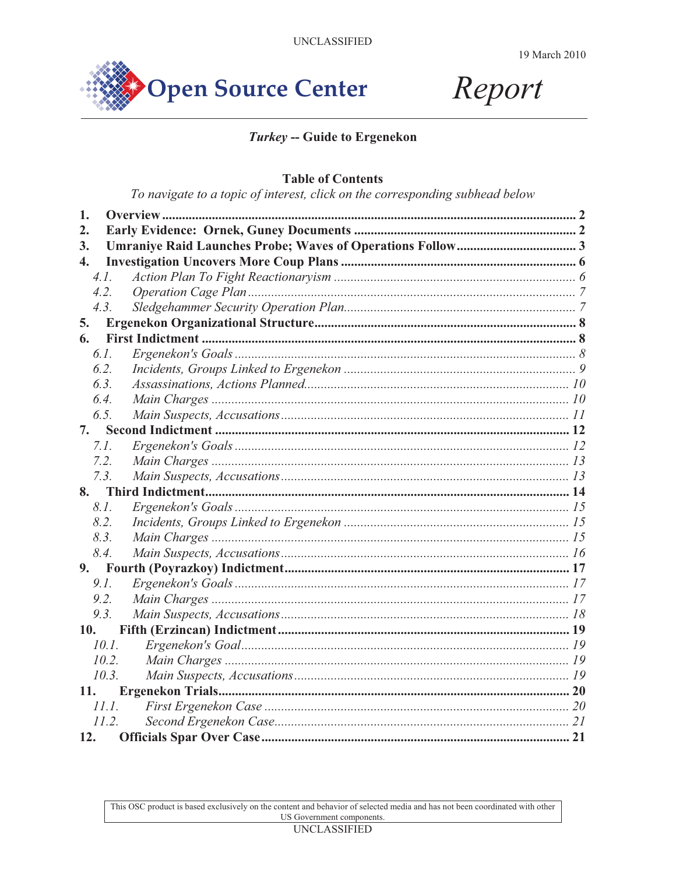



# Turkey -- Guide to Ergenekon

#### **Table of Contents**

To navigate to a topic of interest, click on the corresponding subhead below

| 1.               |       |  |
|------------------|-------|--|
| 2.               |       |  |
| 3.               |       |  |
| $\overline{4}$ . |       |  |
| 4.1.             |       |  |
| 4.2.             |       |  |
| 4.3.             |       |  |
| 5.               |       |  |
| 6.               |       |  |
| 6.1.             |       |  |
| 6.2.             |       |  |
| 6.3.             |       |  |
| 6.4.             |       |  |
| 6.5.             |       |  |
| 7.               |       |  |
| 7.1.             |       |  |
| 7.2.             |       |  |
| 7.3.             |       |  |
| 8.               |       |  |
| 8.1.             |       |  |
| 8.2.             |       |  |
| 8.3.             |       |  |
| 8.4.             |       |  |
|                  |       |  |
| 9.1.             |       |  |
| 9.2.             |       |  |
| 9.3.             |       |  |
| 10.              |       |  |
| 10.1.            |       |  |
| 10.2.            |       |  |
| 10.3.            |       |  |
| <b>11.</b>       |       |  |
|                  | 11.1. |  |
| 11.2.            |       |  |
| 12.              |       |  |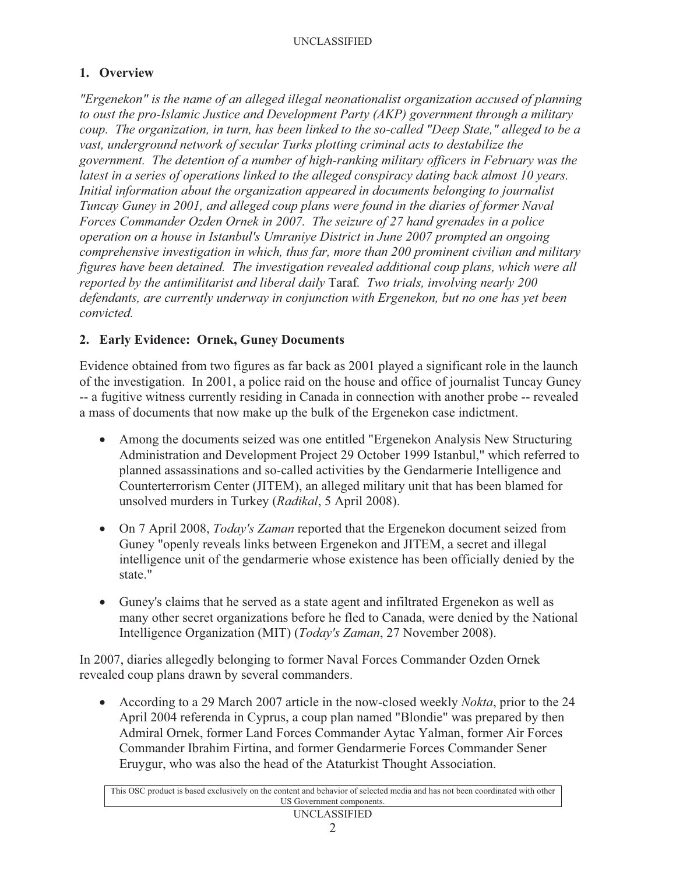# **1. Overview**

*"Ergenekon" is the name of an alleged illegal neonationalist organization accused of planning to oust the pro-Islamic Justice and Development Party (AKP) government through a military coup. The organization, in turn, has been linked to the so-called "Deep State," alleged to be a vast, underground network of secular Turks plotting criminal acts to destabilize the government. The detention of a number of high-ranking military officers in February was the latest in a series of operations linked to the alleged conspiracy dating back almost 10 years. Initial information about the organization appeared in documents belonging to journalist Tuncay Guney in 2001, and alleged coup plans were found in the diaries of former Naval Forces Commander Ozden Ornek in 2007. The seizure of 27 hand grenades in a police operation on a house in Istanbul's Umraniye District in June 2007 prompted an ongoing comprehensive investigation in which, thus far, more than 200 prominent civilian and military figures have been detained. The investigation revealed additional coup plans, which were all reported by the antimilitarist and liberal daily* Taraf*. Two trials, involving nearly 200 defendants, are currently underway in conjunction with Ergenekon, but no one has yet been convicted.*

## **2. Early Evidence: Ornek, Guney Documents**

Evidence obtained from two figures as far back as 2001 played a significant role in the launch of the investigation. In 2001, a police raid on the house and office of journalist Tuncay Guney -- a fugitive witness currently residing in Canada in connection with another probe -- revealed a mass of documents that now make up the bulk of the Ergenekon case indictment.

- Among the documents seized was one entitled "Ergenekon Analysis New Structuring Administration and Development Project 29 October 1999 Istanbul," which referred to planned assassinations and so-called activities by the Gendarmerie Intelligence and Counterterrorism Center (JITEM), an alleged military unit that has been blamed for unsolved murders in Turkey (*Radikal*, 5 April 2008).
- On 7 April 2008, *Today's Zaman* reported that the Ergenekon document seized from Guney "openly reveals links between Ergenekon and JITEM, a secret and illegal intelligence unit of the gendarmerie whose existence has been officially denied by the state."
- Guney's claims that he served as a state agent and infiltrated Ergenekon as well as many other secret organizations before he fled to Canada, were denied by the National Intelligence Organization (MIT) (*Today's Zaman*, 27 November 2008).

In 2007, diaries allegedly belonging to former Naval Forces Commander Ozden Ornek revealed coup plans drawn by several commanders.

- According to a 29 March 2007 article in the now-closed weekly *Nokta*, prior to the 24 April 2004 referenda in Cyprus, a coup plan named "Blondie" was prepared by then Admiral Ornek, former Land Forces Commander Aytac Yalman, former Air Forces Commander Ibrahim Firtina, and former Gendarmerie Forces Commander Sener Eruygur, who was also the head of the Ataturkist Thought Association.

| This OSC product is based exclusively on the content and behavior of selected media and has not been coordinated with other |
|-----------------------------------------------------------------------------------------------------------------------------|
| US Government components.                                                                                                   |
| IDIOI LOOIDIDD                                                                                                              |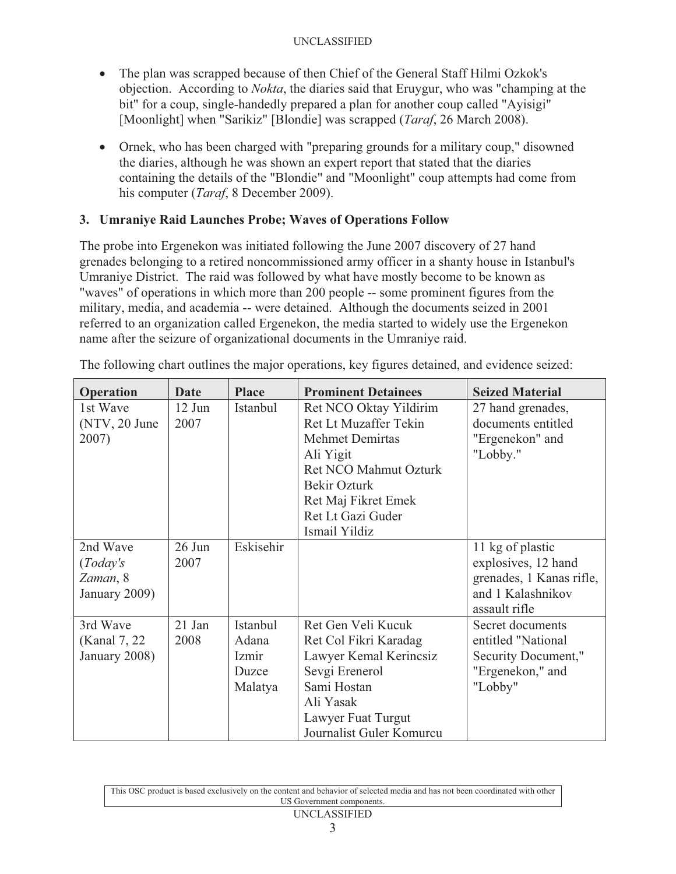- The plan was scrapped because of then Chief of the General Staff Hilmi Ozkok's objection. According to *Nokta*, the diaries said that Eruygur, who was "champing at the bit" for a coup, single-handedly prepared a plan for another coup called "Ayisigi" [Moonlight] when "Sarikiz" [Blondie] was scrapped (*Taraf*, 26 March 2008).
- Ornek, who has been charged with "preparing grounds for a military coup," disowned the diaries, although he was shown an expert report that stated that the diaries containing the details of the "Blondie" and "Moonlight" coup attempts had come from his computer (*Taraf*, 8 December 2009).

## **3. Umraniye Raid Launches Probe; Waves of Operations Follow**

The probe into Ergenekon was initiated following the June 2007 discovery of 27 hand grenades belonging to a retired noncommissioned army officer in a shanty house in Istanbul's Umraniye District. The raid was followed by what have mostly become to be known as "waves" of operations in which more than 200 people -- some prominent figures from the military, media, and academia -- were detained. Although the documents seized in 2001 referred to an organization called Ergenekon, the media started to widely use the Ergenekon name after the seizure of organizational documents in the Umraniye raid.

| Operation     | Date     | <b>Place</b> | <b>Prominent Detainees</b>   | <b>Seized Material</b>   |
|---------------|----------|--------------|------------------------------|--------------------------|
| 1st Wave      | $12$ Jun | Istanbul     | Ret NCO Oktay Yildirim       | 27 hand grenades,        |
| (NTV, 20 June | 2007     |              | Ret Lt Muzaffer Tekin        | documents entitled       |
| 2007)         |          |              | <b>Mehmet Demirtas</b>       | "Ergenekon" and          |
|               |          |              | Ali Yigit                    | "Lobby."                 |
|               |          |              | <b>Ret NCO Mahmut Ozturk</b> |                          |
|               |          |              | <b>Bekir Ozturk</b>          |                          |
|               |          |              | Ret Maj Fikret Emek          |                          |
|               |          |              | Ret Lt Gazi Guder            |                          |
|               |          |              | Ismail Yildiz                |                          |
| 2nd Wave      | 26 Jun   | Eskisehir    |                              | 11 kg of plastic         |
| (Today's      | 2007     |              |                              | explosives, 12 hand      |
| Zaman, 8      |          |              |                              | grenades, 1 Kanas rifle, |
| January 2009) |          |              |                              | and 1 Kalashnikov        |
|               |          |              |                              | assault rifle            |
| 3rd Wave      | 21 Jan   | Istanbul     | Ret Gen Veli Kucuk           | Secret documents         |
| (Kanal 7, 22) | 2008     | Adana        | Ret Col Fikri Karadag        | entitled "National       |
| January 2008) |          | Izmir        | Lawyer Kemal Kerincsiz       | Security Document,"      |
|               |          | Duzce        | Sevgi Erenerol               | "Ergenekon," and         |
|               |          | Malatya      | Sami Hostan                  | "Lobby"                  |
|               |          |              | Ali Yasak                    |                          |
|               |          |              | Lawyer Fuat Turgut           |                          |
|               |          |              | Journalist Guler Komurcu     |                          |

The following chart outlines the major operations, key figures detained, and evidence seized:

| This OSC product is based exclusively on the content and behavior of selected media and has not been coordinated with other |
|-----------------------------------------------------------------------------------------------------------------------------|
| US Government components.                                                                                                   |

#### UNCLASSIFIED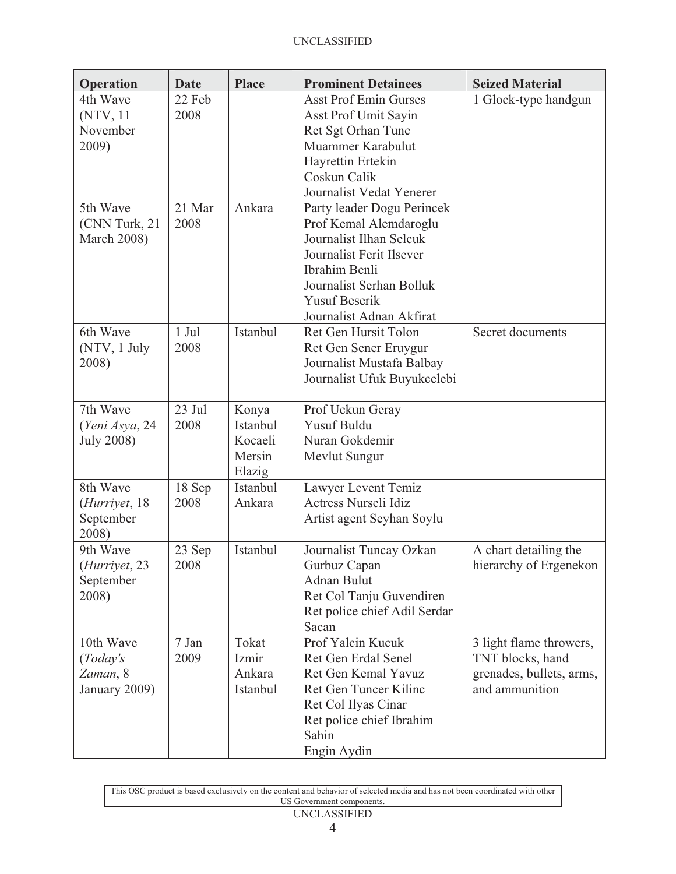| Operation                                                | <b>Date</b>     | <b>Place</b>                                     | <b>Prominent Detainees</b>                                                                                                                                                                                   | <b>Seized Material</b>                                                                    |
|----------------------------------------------------------|-----------------|--------------------------------------------------|--------------------------------------------------------------------------------------------------------------------------------------------------------------------------------------------------------------|-------------------------------------------------------------------------------------------|
| 4th Wave<br>(NTV, 11)<br>November<br>2009)               | 22 Feb<br>2008  |                                                  | <b>Asst Prof Emin Gurses</b><br>Asst Prof Umit Sayin<br>Ret Sgt Orhan Tunc<br>Muammer Karabulut<br>Hayrettin Ertekin<br>Coskun Calik<br>Journalist Vedat Yenerer                                             | 1 Glock-type handgun                                                                      |
| 5th Wave<br>(CNN Turk, 21)<br><b>March 2008)</b>         | 21 Mar<br>2008  | Ankara                                           | Party leader Dogu Perincek<br>Prof Kemal Alemdaroglu<br>Journalist Ilhan Selcuk<br>Journalist Ferit Ilsever<br>Ibrahim Benli<br>Journalist Serhan Bolluk<br><b>Yusuf Beserik</b><br>Journalist Adnan Akfirat |                                                                                           |
| 6th Wave<br>(NTV, 1 July<br>2008)                        | $1$ Jul<br>2008 | Istanbul                                         | Ret Gen Hursit Tolon<br>Ret Gen Sener Eruygur<br>Journalist Mustafa Balbay<br>Journalist Ufuk Buyukcelebi                                                                                                    | Secret documents                                                                          |
| 7th Wave<br>(Yeni Asya, 24<br><b>July 2008)</b>          | 23 Jul<br>2008  | Konya<br>Istanbul<br>Kocaeli<br>Mersin<br>Elazig | Prof Uckun Geray<br><b>Yusuf Buldu</b><br>Nuran Gokdemir<br>Mevlut Sungur                                                                                                                                    |                                                                                           |
| 8th Wave<br>( <i>Hurriyet</i> , 18<br>September<br>2008) | 18 Sep<br>2008  | Istanbul<br>Ankara                               | Lawyer Levent Temiz<br>Actress Nurseli Idiz<br>Artist agent Seyhan Soylu                                                                                                                                     |                                                                                           |
| 9th Wave<br>( <i>Hurriyet</i> , 23<br>September<br>2008) | 23 Sep<br>2008  | Istanbul                                         | Journalist Tuncay Ozkan<br>Gurbuz Capan<br>Adnan Bulut<br>Ret Col Tanju Guvendiren<br>Ret police chief Adil Serdar<br>Sacan                                                                                  | A chart detailing the<br>hierarchy of Ergenekon                                           |
| 10th Wave<br>(Today's<br>Zaman, 8<br>January 2009)       | 7 Jan<br>2009   | Tokat<br>Izmir<br>Ankara<br>Istanbul             | Prof Yalcin Kucuk<br>Ret Gen Erdal Senel<br>Ret Gen Kemal Yavuz<br>Ret Gen Tuncer Kilinc<br>Ret Col Ilyas Cinar<br>Ret police chief Ibrahim<br>Sahin<br>Engin Aydin                                          | 3 light flame throwers,<br>TNT blocks, hand<br>grenades, bullets, arms,<br>and ammunition |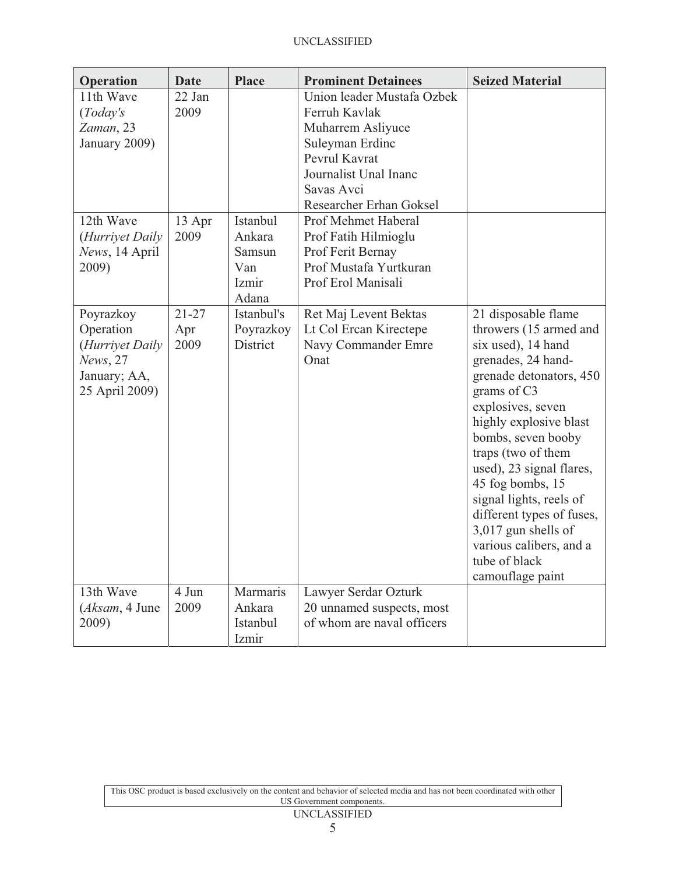| Operation                                                                               | <b>Date</b>              | <b>Place</b>                                          | <b>Prominent Detainees</b>                                                                                                                                                    | <b>Seized Material</b>                                                                                                                                                                                                                                                                                                                                                                                                        |
|-----------------------------------------------------------------------------------------|--------------------------|-------------------------------------------------------|-------------------------------------------------------------------------------------------------------------------------------------------------------------------------------|-------------------------------------------------------------------------------------------------------------------------------------------------------------------------------------------------------------------------------------------------------------------------------------------------------------------------------------------------------------------------------------------------------------------------------|
| 11th Wave<br>(Today's<br>Zaman, 23<br>January 2009)                                     | 22 Jan<br>2009           |                                                       | Union leader Mustafa Ozbek<br>Ferruh Kavlak<br>Muharrem Asliyuce<br>Suleyman Erdinc<br>Pevrul Kavrat<br>Journalist Unal Inanc<br>Savas Avci<br><b>Researcher Erhan Goksel</b> |                                                                                                                                                                                                                                                                                                                                                                                                                               |
| 12th Wave<br>(Hurriyet Daily<br>News, 14 April<br>2009)                                 | 13 Apr<br>2009           | Istanbul<br>Ankara<br>Samsun<br>Van<br>Izmir<br>Adana | Prof Mehmet Haberal<br>Prof Fatih Hilmioglu<br>Prof Ferit Bernay<br>Prof Mustafa Yurtkuran<br>Prof Erol Manisali                                                              |                                                                                                                                                                                                                                                                                                                                                                                                                               |
| Poyrazkoy<br>Operation<br>(Hurriyet Daily<br>News, 27<br>January; AA,<br>25 April 2009) | $21 - 27$<br>Apr<br>2009 | Istanbul's<br>Poyrazkoy<br><b>District</b>            | Ret Maj Levent Bektas<br>Lt Col Ercan Kirectepe<br>Navy Commander Emre<br>Onat                                                                                                | 21 disposable flame<br>throwers (15 armed and<br>six used), 14 hand<br>grenades, 24 hand-<br>grenade detonators, 450<br>grams of C3<br>explosives, seven<br>highly explosive blast<br>bombs, seven booby<br>traps (two of them<br>used), 23 signal flares,<br>45 fog bombs, 15<br>signal lights, reels of<br>different types of fuses,<br>3,017 gun shells of<br>various calibers, and a<br>tube of black<br>camouflage paint |
| 13th Wave<br>(Aksam, 4 June<br>2009)                                                    | 4 Jun<br>2009            | Marmaris<br>Ankara<br>Istanbul<br>Izmir               | Lawyer Serdar Ozturk<br>20 unnamed suspects, most<br>of whom are naval officers                                                                                               |                                                                                                                                                                                                                                                                                                                                                                                                                               |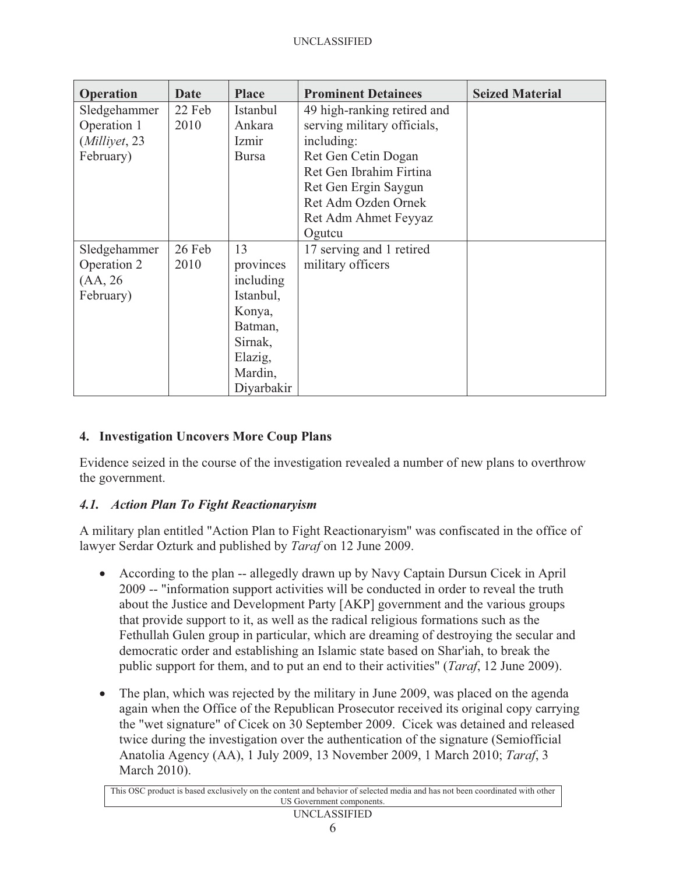| <b>Operation</b> | Date   | <b>Place</b> | <b>Prominent Detainees</b>  | <b>Seized Material</b> |
|------------------|--------|--------------|-----------------------------|------------------------|
| Sledgehammer     | 22 Feb | Istanbul     | 49 high-ranking retired and |                        |
| Operation 1      | 2010   | Ankara       | serving military officials, |                        |
| (Milliyet, 23    |        | Izmir        | including:                  |                        |
| February)        |        | <b>Bursa</b> | Ret Gen Cetin Dogan         |                        |
|                  |        |              | Ret Gen Ibrahim Firtina     |                        |
|                  |        |              | Ret Gen Ergin Saygun        |                        |
|                  |        |              | Ret Adm Ozden Ornek         |                        |
|                  |        |              | Ret Adm Ahmet Feyyaz        |                        |
|                  |        |              | Ogutcu                      |                        |
| Sledgehammer     | 26 Feb | 13           | 17 serving and 1 retired    |                        |
| Operation 2      | 2010   | provinces    | military officers           |                        |
| (AA, 26)         |        | including    |                             |                        |
| February)        |        | Istanbul,    |                             |                        |
|                  |        | Konya,       |                             |                        |
|                  |        | Batman,      |                             |                        |
|                  |        | Sirnak,      |                             |                        |
|                  |        | Elazig,      |                             |                        |
|                  |        | Mardin,      |                             |                        |
|                  |        | Diyarbakir   |                             |                        |

# **4. Investigation Uncovers More Coup Plans**

Evidence seized in the course of the investigation revealed a number of new plans to overthrow the government.

### *4.1. Action Plan To Fight Reactionaryism*

A military plan entitled "Action Plan to Fight Reactionaryism" was confiscated in the office of lawyer Serdar Ozturk and published by *Taraf* on 12 June 2009.

- According to the plan -- allegedly drawn up by Navy Captain Dursun Cicek in April 2009 -- "information support activities will be conducted in order to reveal the truth about the Justice and Development Party [AKP] government and the various groups that provide support to it, as well as the radical religious formations such as the Fethullah Gulen group in particular, which are dreaming of destroying the secular and democratic order and establishing an Islamic state based on Shar'iah, to break the public support for them, and to put an end to their activities" (*Taraf*, 12 June 2009).
- $\bullet$  The plan, which was rejected by the military in June 2009, was placed on the agenda again when the Office of the Republican Prosecutor received its original copy carrying the "wet signature" of Cicek on 30 September 2009. Cicek was detained and released twice during the investigation over the authentication of the signature (Semiofficial Anatolia Agency (AA), 1 July 2009, 13 November 2009, 1 March 2010; *Taraf*, 3 March 2010).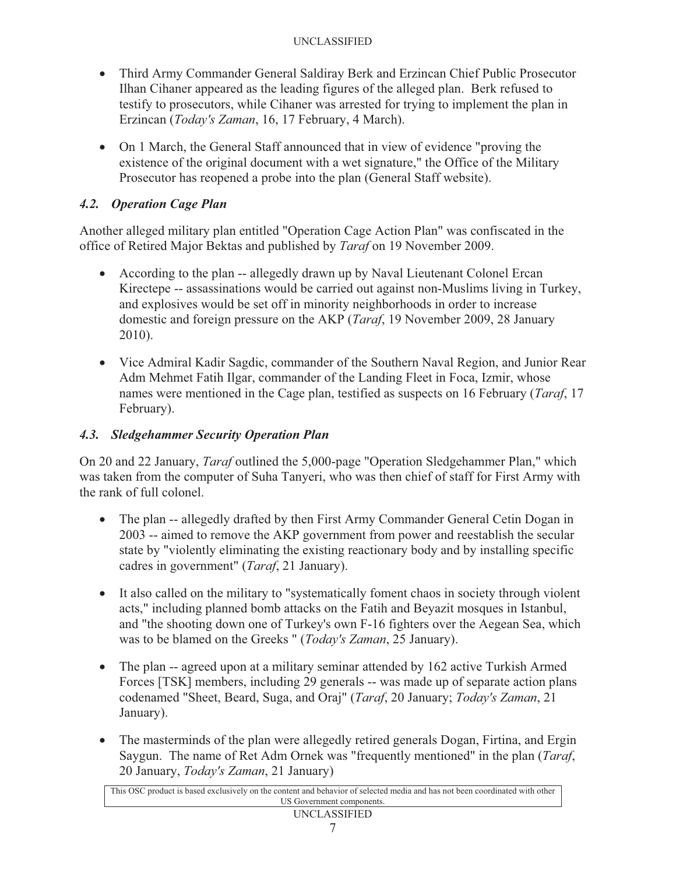- Third Army Commander General Saldiray Berk and Erzincan Chief Public Prosecutor Ilhan Cihaner appeared as the leading figures of the alleged plan. Berk refused to testify to prosecutors, while Cihaner was arrested for trying to implement the plan in Erzincan (*Today's Zaman*, 16, 17 February, 4 March).
- On 1 March, the General Staff announced that in view of evidence "proving the existence of the original document with a wet signature," the Office of the Military Prosecutor has reopened a probe into the plan (General Staff website).

# *4.2. Operation Cage Plan*

Another alleged military plan entitled "Operation Cage Action Plan" was confiscated in the office of Retired Major Bektas and published by *Taraf* on 19 November 2009.

- According to the plan -- allegedly drawn up by Naval Lieutenant Colonel Ercan Kirectepe -- assassinations would be carried out against non-Muslims living in Turkey, and explosives would be set off in minority neighborhoods in order to increase domestic and foreign pressure on the AKP (*Taraf*, 19 November 2009, 28 January 2010).
- Vice Admiral Kadir Sagdic, commander of the Southern Naval Region, and Junior Rear Adm Mehmet Fatih Ilgar, commander of the Landing Fleet in Foca, Izmir, whose names were mentioned in the Cage plan, testified as suspects on 16 February (*Taraf*, 17 February).

# *4.3. Sledgehammer Security Operation Plan*

On 20 and 22 January, *Taraf* outlined the 5,000-page "Operation Sledgehammer Plan," which was taken from the computer of Suha Tanyeri, who was then chief of staff for First Army with the rank of full colonel.

- The plan -- allegedly drafted by then First Army Commander General Cetin Dogan in 2003 -- aimed to remove the AKP government from power and reestablish the secular state by "violently eliminating the existing reactionary body and by installing specific cadres in government" (*Taraf*, 21 January).
- It also called on the military to "systematically foment chaos in society through violent acts," including planned bomb attacks on the Fatih and Beyazit mosques in Istanbul, and "the shooting down one of Turkey's own F-16 fighters over the Aegean Sea, which was to be blamed on the Greeks " (*Today's Zaman*, 25 January).
- The plan -- agreed upon at a military seminar attended by 162 active Turkish Armed Forces [TSK] members, including 29 generals -- was made up of separate action plans codenamed "Sheet, Beard, Suga, and Oraj" (*Taraf*, 20 January; *Today's Zaman*, 21 January).
- The masterminds of the plan were allegedly retired generals Dogan, Firtina, and Ergin Saygun. The name of Ret Adm Ornek was "frequently mentioned" in the plan (*Taraf*, 20 January, *Today's Zaman*, 21 January)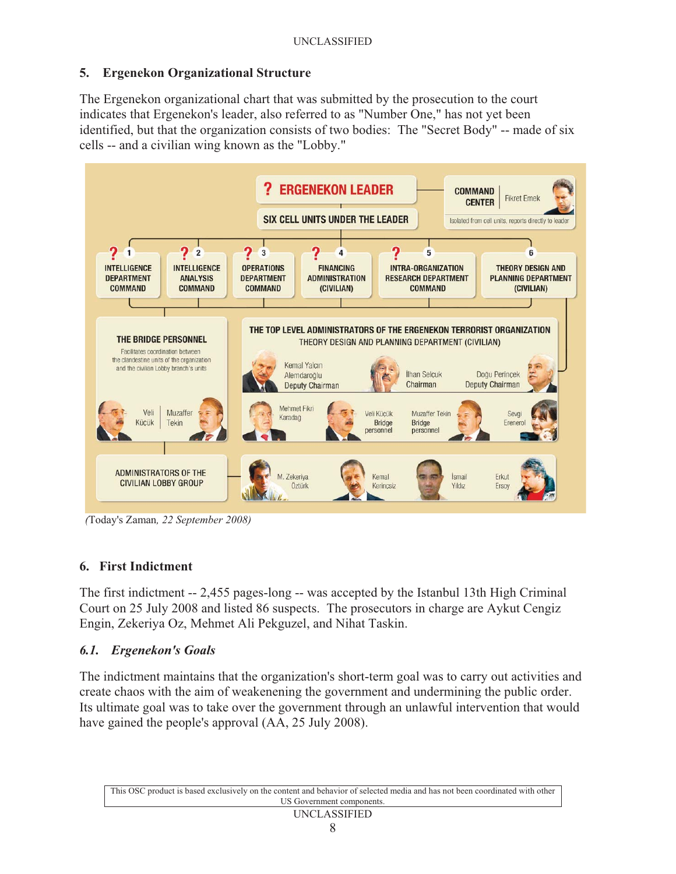### **5. Ergenekon Organizational Structure**

The Ergenekon organizational chart that was submitted by the prosecution to the court indicates that Ergenekon's leader, also referred to as "Number One," has not yet been identified, but that the organization consists of two bodies: The "Secret Body" -- made of six cells -- and a civilian wing known as the "Lobby."



*(*Today's Zaman*, 22 September 2008)* 

### **6. First Indictment**

The first indictment -- 2,455 pages-long -- was accepted by the Istanbul 13th High Criminal Court on 25 July 2008 and listed 86 suspects. The prosecutors in charge are Aykut Cengiz Engin, Zekeriya Oz, Mehmet Ali Pekguzel, and Nihat Taskin.

### *6.1. Ergenekon's Goals*

The indictment maintains that the organization's short-term goal was to carry out activities and create chaos with the aim of weakenening the government and undermining the public order. Its ultimate goal was to take over the government through an unlawful intervention that would have gained the people's approval (AA, 25 July 2008).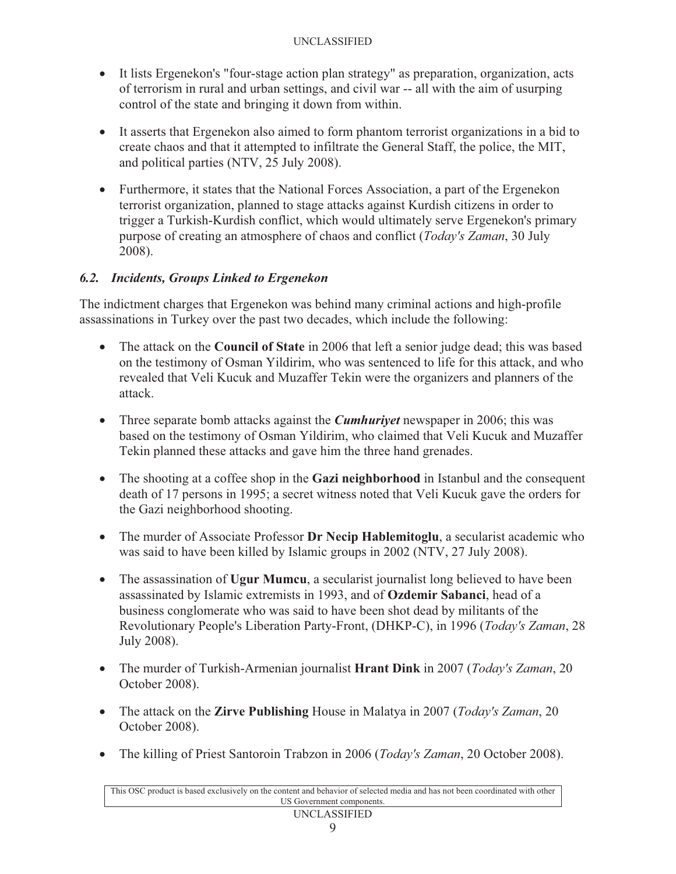- It lists Ergenekon's "four-stage action plan strategy" as preparation, organization, acts of terrorism in rural and urban settings, and civil war -- all with the aim of usurping control of the state and bringing it down from within.
- It asserts that Ergenekon also aimed to form phantom terrorist organizations in a bid to create chaos and that it attempted to infiltrate the General Staff, the police, the MIT, and political parties (NTV, 25 July 2008).
- Furthermore, it states that the National Forces Association, a part of the Ergenekon terrorist organization, planned to stage attacks against Kurdish citizens in order to trigger a Turkish-Kurdish conflict, which would ultimately serve Ergenekon's primary purpose of creating an atmosphere of chaos and conflict (*Today's Zaman*, 30 July 2008).

# *6.2. Incidents, Groups Linked to Ergenekon*

The indictment charges that Ergenekon was behind many criminal actions and high-profile assassinations in Turkey over the past two decades, which include the following:

- The attack on the **Council of State** in 2006 that left a senior judge dead; this was based on the testimony of Osman Yildirim, who was sentenced to life for this attack, and who revealed that Veli Kucuk and Muzaffer Tekin were the organizers and planners of the attack.
- $\bullet$  Three separate bomb attacks against the *Cumhuriyet* newspaper in 2006; this was based on the testimony of Osman Yildirim, who claimed that Veli Kucuk and Muzaffer Tekin planned these attacks and gave him the three hand grenades.
- The shooting at a coffee shop in the **Gazi neighborhood** in Istanbul and the consequent death of 17 persons in 1995; a secret witness noted that Veli Kucuk gave the orders for the Gazi neighborhood shooting.
- The murder of Associate Professor **Dr Necip Hablemitoglu**, a secularist academic who was said to have been killed by Islamic groups in 2002 (NTV, 27 July 2008).
- The assassination of **Ugur Mumcu**, a secularist journalist long believed to have been assassinated by Islamic extremists in 1993, and of **Ozdemir Sabanci**, head of a business conglomerate who was said to have been shot dead by militants of the Revolutionary People's Liberation Party-Front, (DHKP-C), in 1996 (*Today's Zaman*, 28 July 2008).
- The murder of Turkish-Armenian journalist **Hrant Dink** in 2007 (*Today's Zaman*, 20 October 2008).
- The attack on the **Zirve Publishing** House in Malatya in 2007 (*Today's Zaman*, 20 October 2008).
- The killing of Priest Santoroin Trabzon in 2006 (*Today's Zaman*, 20 October 2008).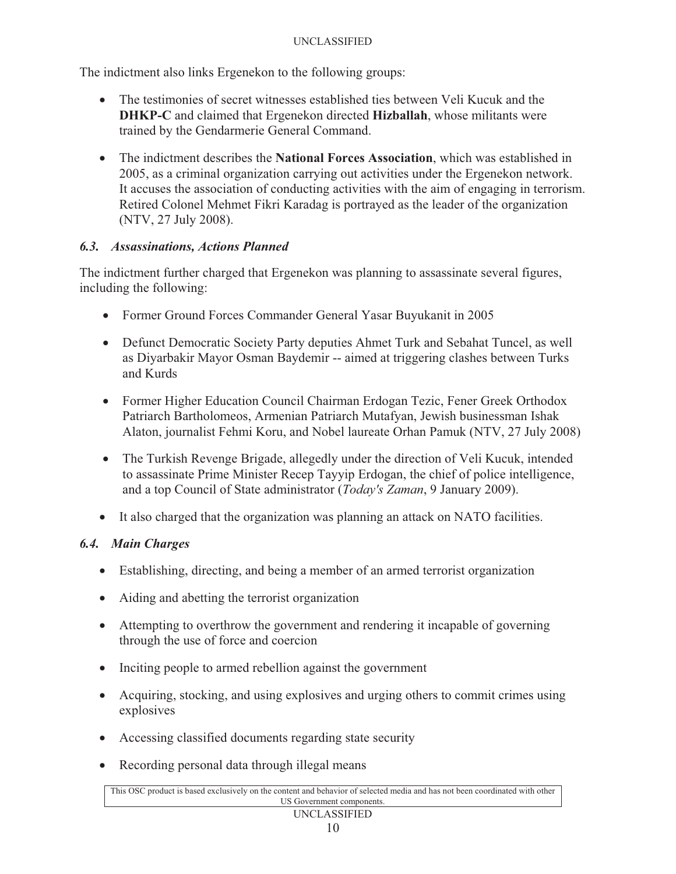The indictment also links Ergenekon to the following groups:

- The testimonies of secret witnesses established ties between Veli Kucuk and the **DHKP-C** and claimed that Ergenekon directed **Hizballah**, whose militants were trained by the Gendarmerie General Command.
- The indictment describes the **National Forces Association**, which was established in 2005, as a criminal organization carrying out activities under the Ergenekon network. It accuses the association of conducting activities with the aim of engaging in terrorism. Retired Colonel Mehmet Fikri Karadag is portrayed as the leader of the organization (NTV, 27 July 2008).

## *6.3. Assassinations, Actions Planned*

The indictment further charged that Ergenekon was planning to assassinate several figures, including the following:

- Former Ground Forces Commander General Yasar Buyukanit in 2005
- Defunct Democratic Society Party deputies Ahmet Turk and Sebahat Tuncel, as well as Diyarbakir Mayor Osman Baydemir -- aimed at triggering clashes between Turks and Kurds
- Former Higher Education Council Chairman Erdogan Tezic, Fener Greek Orthodox Patriarch Bartholomeos, Armenian Patriarch Mutafyan, Jewish businessman Ishak Alaton, journalist Fehmi Koru, and Nobel laureate Orhan Pamuk (NTV, 27 July 2008)
- $\bullet$  The Turkish Revenge Brigade, allegedly under the direction of Veli Kucuk, intended to assassinate Prime Minister Recep Tayyip Erdogan, the chief of police intelligence, and a top Council of State administrator (*Today's Zaman*, 9 January 2009).
- It also charged that the organization was planning an attack on NATO facilities.

# *6.4. Main Charges*

- Establishing, directing, and being a member of an armed terrorist organization
- Aiding and abetting the terrorist organization
- Attempting to overthrow the government and rendering it incapable of governing through the use of force and coercion
- Inciting people to armed rebellion against the government
- $\bullet$  Acquiring, stocking, and using explosives and urging others to commit crimes using explosives
- Accessing classified documents regarding state security
- Recording personal data through illegal means

This OSC product is based exclusively on the content and behavior of selected media and has not been coordinated with other US Government components.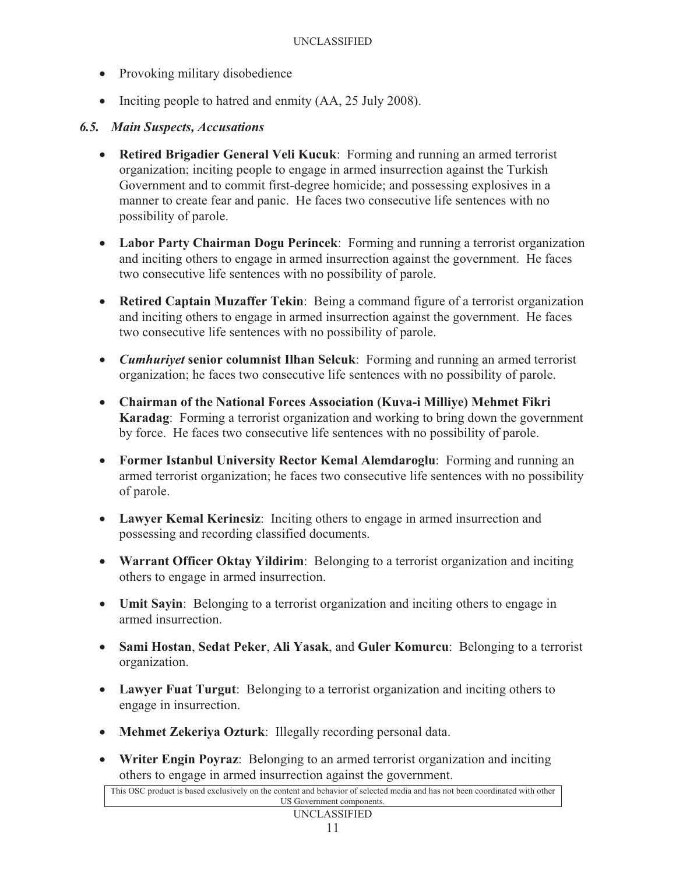- Provoking military disobedience
- Inciting people to hatred and enmity (AA, 25 July 2008).

### *6.5. Main Suspects, Accusations*

- **Retired Brigadier General Veli Kucuk**: Forming and running an armed terrorist organization; inciting people to engage in armed insurrection against the Turkish Government and to commit first-degree homicide; and possessing explosives in a manner to create fear and panic. He faces two consecutive life sentences with no possibility of parole.
- **Labor Party Chairman Dogu Perincek**: Forming and running a terrorist organization and inciting others to engage in armed insurrection against the government. He faces two consecutive life sentences with no possibility of parole.
- **Retired Captain Muzaffer Tekin**: Being a command figure of a terrorist organization and inciting others to engage in armed insurrection against the government. He faces two consecutive life sentences with no possibility of parole.
- *Cumhuriyet* **senior columnist Ilhan Selcuk**: Forming and running an armed terrorist organization; he faces two consecutive life sentences with no possibility of parole.
- **Chairman of the National Forces Association (Kuva-i Milliye) Mehmet Fikri Karadag**: Forming a terrorist organization and working to bring down the government by force. He faces two consecutive life sentences with no possibility of parole.
- **Former Istanbul University Rector Kemal Alemdaroglu**: Forming and running an armed terrorist organization; he faces two consecutive life sentences with no possibility of parole.
- **Lawyer Kemal Kerincsiz**: Inciting others to engage in armed insurrection and possessing and recording classified documents.
- **Warrant Officer Oktay Yildirim**: Belonging to a terrorist organization and inciting others to engage in armed insurrection.
- **Umit Sayin**: Belonging to a terrorist organization and inciting others to engage in armed insurrection.
- **Sami Hostan**, **Sedat Peker**, **Ali Yasak**, and **Guler Komurcu**: Belonging to a terrorist organization.
- **Lawyer Fuat Turgut**: Belonging to a terrorist organization and inciting others to engage in insurrection.
- **Mehmet Zekeriya Ozturk**: Illegally recording personal data.
- **Writer Engin Poyraz**: Belonging to an armed terrorist organization and inciting others to engage in armed insurrection against the government.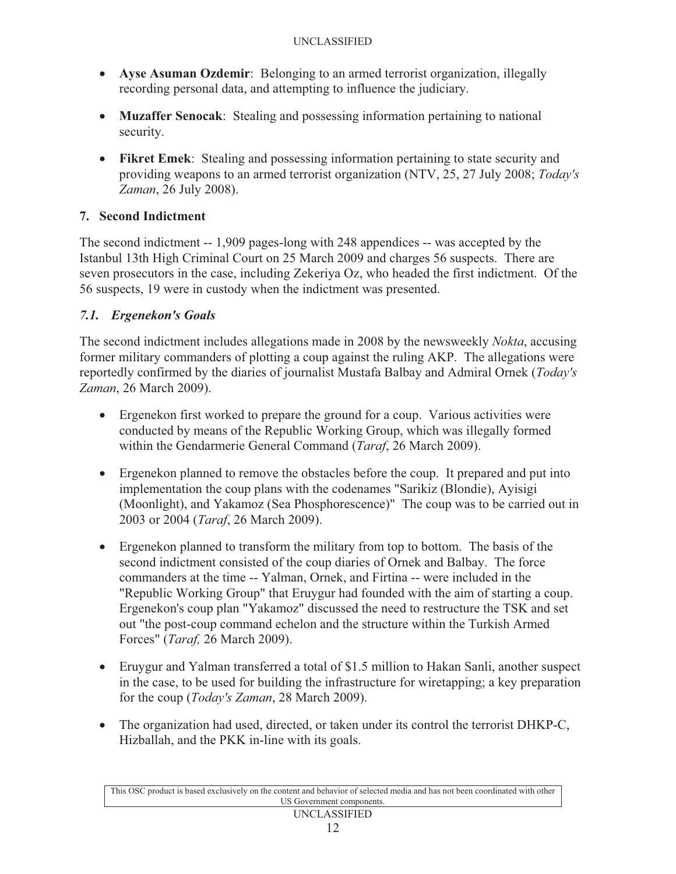- **Ayse Asuman Ozdemir**: Belonging to an armed terrorist organization, illegally recording personal data, and attempting to influence the judiciary.
- **Muzaffer Senocak**: Stealing and possessing information pertaining to national security.
- **Fikret Emek**: Stealing and possessing information pertaining to state security and providing weapons to an armed terrorist organization (NTV, 25, 27 July 2008; *Today's Zaman*, 26 July 2008).

## **7. Second Indictment**

The second indictment -- 1,909 pages-long with 248 appendices -- was accepted by the Istanbul 13th High Criminal Court on 25 March 2009 and charges 56 suspects. There are seven prosecutors in the case, including Zekeriya Oz, who headed the first indictment. Of the 56 suspects, 19 were in custody when the indictment was presented.

## *7.1. Ergenekon's Goals*

The second indictment includes allegations made in 2008 by the newsweekly *Nokta*, accusing former military commanders of plotting a coup against the ruling AKP. The allegations were reportedly confirmed by the diaries of journalist Mustafa Balbay and Admiral Ornek (*Today's Zaman*, 26 March 2009).

- Ergenekon first worked to prepare the ground for a coup. Various activities were conducted by means of the Republic Working Group, which was illegally formed within the Gendarmerie General Command (*Taraf*, 26 March 2009).
- Ergenekon planned to remove the obstacles before the coup. It prepared and put into implementation the coup plans with the codenames "Sarikiz (Blondie), Ayisigi (Moonlight), and Yakamoz (Sea Phosphorescence)" The coup was to be carried out in 2003 or 2004 (*Taraf*, 26 March 2009).
- Ergenekon planned to transform the military from top to bottom. The basis of the second indictment consisted of the coup diaries of Ornek and Balbay. The force commanders at the time -- Yalman, Ornek, and Firtina -- were included in the "Republic Working Group" that Eruygur had founded with the aim of starting a coup. Ergenekon's coup plan "Yakamoz" discussed the need to restructure the TSK and set out "the post-coup command echelon and the structure within the Turkish Armed Forces" (*Taraf,* 26 March 2009).
- Eruygur and Yalman transferred a total of \$1.5 million to Hakan Sanli, another suspect in the case, to be used for building the infrastructure for wiretapping; a key preparation for the coup (*Today's Zaman*, 28 March 2009).
- The organization had used, directed, or taken under its control the terrorist DHKP-C, Hizballah, and the PKK in-line with its goals.

This OSC product is based exclusively on the content and behavior of selected media and has not been coordinated with other US Government components.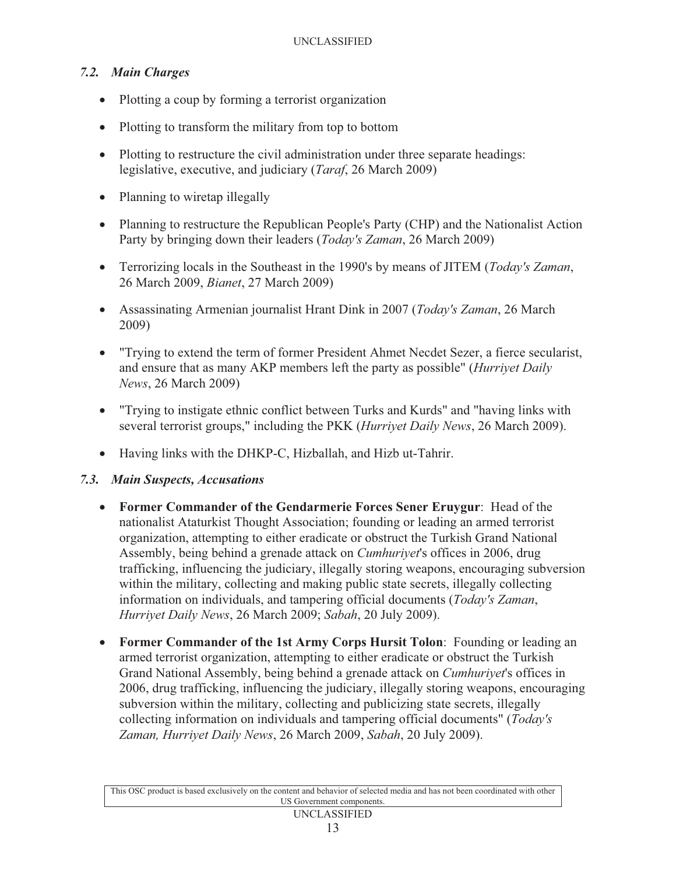### *7.2. Main Charges*

- Plotting a coup by forming a terrorist organization
- Plotting to transform the military from top to bottom
- Plotting to restructure the civil administration under three separate headings: legislative, executive, and judiciary (*Taraf*, 26 March 2009)
- Planning to wiretap illegally
- Planning to restructure the Republican People's Party (CHP) and the Nationalist Action Party by bringing down their leaders (*Today's Zaman*, 26 March 2009)
- Terrorizing locals in the Southeast in the 1990's by means of JITEM (*Today's Zaman*, 26 March 2009, *Bianet*, 27 March 2009)
- Assassinating Armenian journalist Hrant Dink in 2007 (*Today's Zaman*, 26 March 2009)
- "Trying to extend the term of former President Ahmet Necdet Sezer, a fierce secularist, and ensure that as many AKP members left the party as possible" (*Hurriyet Daily News*, 26 March 2009)
- "Trying to instigate ethnic conflict between Turks and Kurds" and "having links with several terrorist groups," including the PKK (*Hurriyet Daily News*, 26 March 2009).
- Having links with the DHKP-C, Hizballah, and Hizb ut-Tahrir.

#### *7.3. Main Suspects, Accusations*

- **Former Commander of the Gendarmerie Forces Sener Eruygur**: Head of the nationalist Ataturkist Thought Association; founding or leading an armed terrorist organization, attempting to either eradicate or obstruct the Turkish Grand National Assembly, being behind a grenade attack on *Cumhuriyet*'s offices in 2006, drug trafficking, influencing the judiciary, illegally storing weapons, encouraging subversion within the military, collecting and making public state secrets, illegally collecting information on individuals, and tampering official documents (*Today's Zaman*, *Hurriyet Daily News*, 26 March 2009; *Sabah*, 20 July 2009).
- **Former Commander of the 1st Army Corps Hursit Tolon**: Founding or leading an armed terrorist organization, attempting to either eradicate or obstruct the Turkish Grand National Assembly, being behind a grenade attack on *Cumhuriyet*'s offices in 2006, drug trafficking, influencing the judiciary, illegally storing weapons, encouraging subversion within the military, collecting and publicizing state secrets, illegally collecting information on individuals and tampering official documents" (*Today's Zaman, Hurriyet Daily News*, 26 March 2009, *Sabah*, 20 July 2009).

This OSC product is based exclusively on the content and behavior of selected media and has not been coordinated with other US Government components.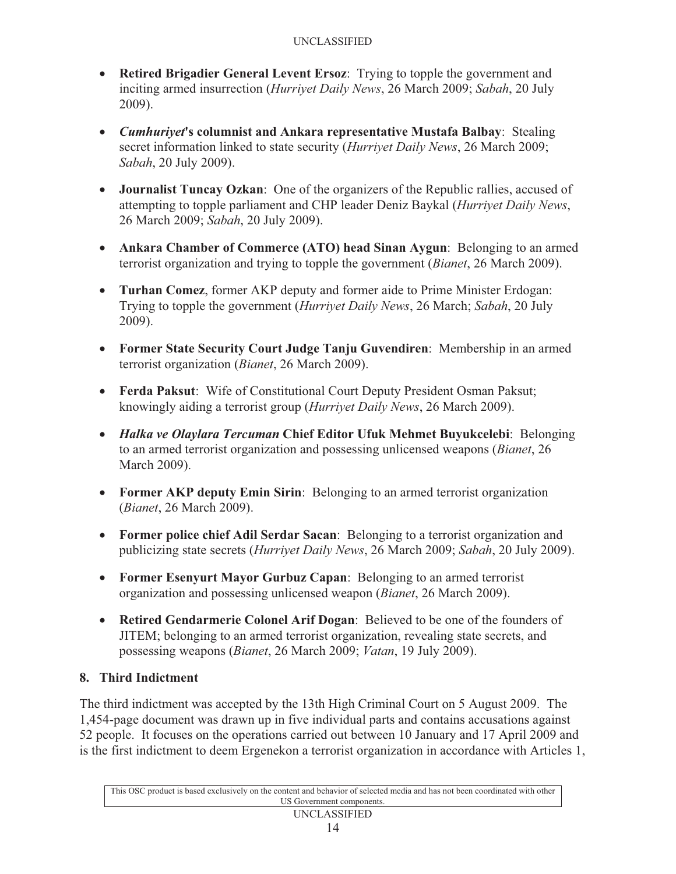- **Retired Brigadier General Levent Ersoz**: Trying to topple the government and inciting armed insurrection (*Hurriyet Daily News*, 26 March 2009; *Sabah*, 20 July 2009).
- *Cumhuriyet***'s columnist and Ankara representative Mustafa Balbay**: Stealing secret information linked to state security (*Hurriyet Daily News*, 26 March 2009; *Sabah*, 20 July 2009).
- **Journalist Tuncay Ozkan**: One of the organizers of the Republic rallies, accused of attempting to topple parliament and CHP leader Deniz Baykal (*Hurriyet Daily News*, 26 March 2009; *Sabah*, 20 July 2009).
- **Ankara Chamber of Commerce (ATO) head Sinan Aygun**: Belonging to an armed terrorist organization and trying to topple the government (*Bianet*, 26 March 2009).
- **Turhan Comez**, former AKP deputy and former aide to Prime Minister Erdogan: Trying to topple the government (*Hurriyet Daily News*, 26 March; *Sabah*, 20 July 2009).
- **Former State Security Court Judge Tanju Guvendiren**: Membership in an armed terrorist organization (*Bianet*, 26 March 2009).
- **Ferda Paksut**: Wife of Constitutional Court Deputy President Osman Paksut; knowingly aiding a terrorist group (*Hurriyet Daily News*, 26 March 2009).
- *Halka ve Olaylara Tercuman* **Chief Editor Ufuk Mehmet Buyukcelebi**: Belonging to an armed terrorist organization and possessing unlicensed weapons (*Bianet*, 26 March 2009).
- **Former AKP deputy Emin Sirin:** Belonging to an armed terrorist organization (*Bianet*, 26 March 2009).
- **Former police chief Adil Serdar Sacan**: Belonging to a terrorist organization and publicizing state secrets (*Hurriyet Daily News*, 26 March 2009; *Sabah*, 20 July 2009).
- **Former Esenyurt Mayor Gurbuz Capan**: Belonging to an armed terrorist organization and possessing unlicensed weapon (*Bianet*, 26 March 2009).
- **Retired Gendarmerie Colonel Arif Dogan**: Believed to be one of the founders of JITEM; belonging to an armed terrorist organization, revealing state secrets, and possessing weapons (*Bianet*, 26 March 2009; *Vatan*, 19 July 2009).

# **8. Third Indictment**

The third indictment was accepted by the 13th High Criminal Court on 5 August 2009. The 1,454-page document was drawn up in five individual parts and contains accusations against 52 people. It focuses on the operations carried out between 10 January and 17 April 2009 and is the first indictment to deem Ergenekon a terrorist organization in accordance with Articles 1,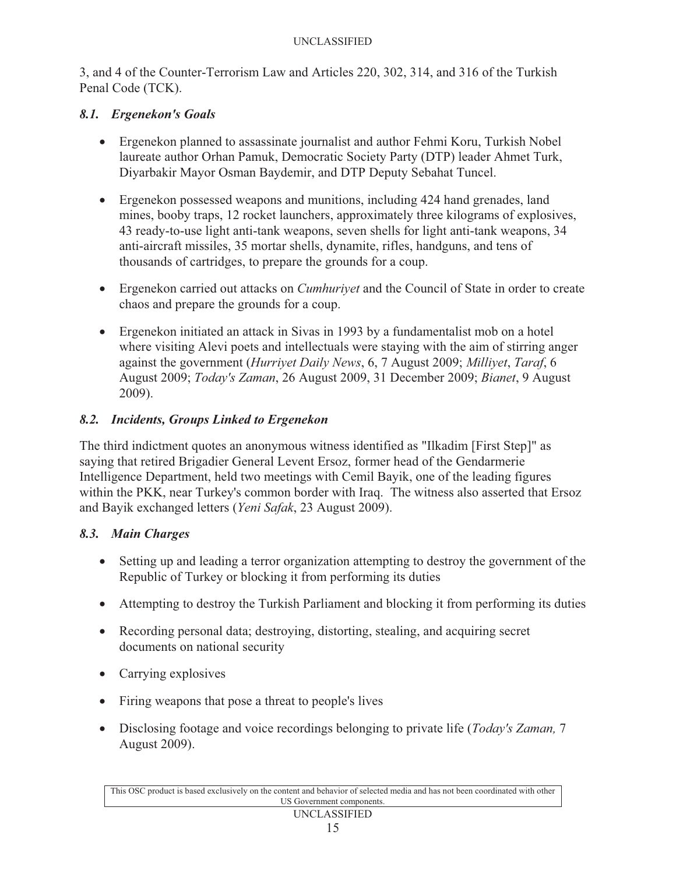3, and 4 of the Counter-Terrorism Law and Articles 220, 302, 314, and 316 of the Turkish Penal Code (TCK).

### *8.1. Ergenekon's Goals*

- Ergenekon planned to assassinate journalist and author Fehmi Koru, Turkish Nobel laureate author Orhan Pamuk, Democratic Society Party (DTP) leader Ahmet Turk, Diyarbakir Mayor Osman Baydemir, and DTP Deputy Sebahat Tuncel.
- Ergenekon possessed weapons and munitions, including 424 hand grenades, land mines, booby traps, 12 rocket launchers, approximately three kilograms of explosives, 43 ready-to-use light anti-tank weapons, seven shells for light anti-tank weapons, 34 anti-aircraft missiles, 35 mortar shells, dynamite, rifles, handguns, and tens of thousands of cartridges, to prepare the grounds for a coup.
- Ergenekon carried out attacks on *Cumhuriyet* and the Council of State in order to create chaos and prepare the grounds for a coup.
- Ergenekon initiated an attack in Sivas in 1993 by a fundamentalist mob on a hotel where visiting Alevi poets and intellectuals were staying with the aim of stirring anger against the government (*Hurriyet Daily News*, 6, 7 August 2009; *Milliyet*, *Taraf*, 6 August 2009; *Today's Zaman*, 26 August 2009, 31 December 2009; *Bianet*, 9 August 2009).

# *8.2. Incidents, Groups Linked to Ergenekon*

The third indictment quotes an anonymous witness identified as "Ilkadim [First Step]" as saying that retired Brigadier General Levent Ersoz, former head of the Gendarmerie Intelligence Department, held two meetings with Cemil Bayik, one of the leading figures within the PKK, near Turkey's common border with Iraq. The witness also asserted that Ersoz and Bayik exchanged letters (*Yeni Safak*, 23 August 2009).

### *8.3. Main Charges*

- Setting up and leading a terror organization attempting to destroy the government of the Republic of Turkey or blocking it from performing its duties
- Attempting to destroy the Turkish Parliament and blocking it from performing its duties
- Recording personal data; destroying, distorting, stealing, and acquiring secret documents on national security
- Carrying explosives
- Firing weapons that pose a threat to people's lives
- Disclosing footage and voice recordings belonging to private life (*Today's Zaman,* 7 August 2009).

This OSC product is based exclusively on the content and behavior of selected media and has not been coordinated with other US Government components.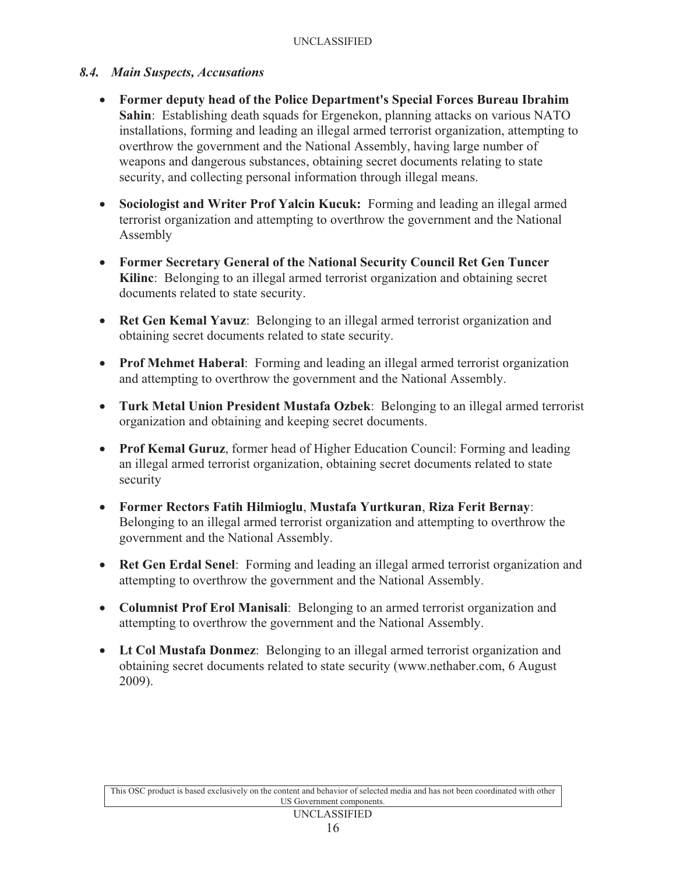#### *8.4. Main Suspects, Accusations*

- **Former deputy head of the Police Department's Special Forces Bureau Ibrahim Sahin**: Establishing death squads for Ergenekon, planning attacks on various NATO installations, forming and leading an illegal armed terrorist organization, attempting to overthrow the government and the National Assembly, having large number of weapons and dangerous substances, obtaining secret documents relating to state security, and collecting personal information through illegal means.
- **Sociologist and Writer Prof Yalcin Kucuk:** Forming and leading an illegal armed terrorist organization and attempting to overthrow the government and the National Assembly
- **Former Secretary General of the National Security Council Ret Gen Tuncer Kilinc**: Belonging to an illegal armed terrorist organization and obtaining secret documents related to state security.
- **Ret Gen Kemal Yavuz**: Belonging to an illegal armed terrorist organization and obtaining secret documents related to state security.
- **Prof Mehmet Haberal**: Forming and leading an illegal armed terrorist organization and attempting to overthrow the government and the National Assembly.
- **Turk Metal Union President Mustafa Ozbek**: Belonging to an illegal armed terrorist organization and obtaining and keeping secret documents.
- **Prof Kemal Guruz**, former head of Higher Education Council: Forming and leading an illegal armed terrorist organization, obtaining secret documents related to state security
- **Former Rectors Fatih Hilmioglu**, **Mustafa Yurtkuran**, **Riza Ferit Bernay**: Belonging to an illegal armed terrorist organization and attempting to overthrow the government and the National Assembly.
- **Ret Gen Erdal Senel**: Forming and leading an illegal armed terrorist organization and attempting to overthrow the government and the National Assembly.
- **Columnist Prof Erol Manisali**: Belonging to an armed terrorist organization and attempting to overthrow the government and the National Assembly.
- **Lt Col Mustafa Donmez**: Belonging to an illegal armed terrorist organization and obtaining secret documents related to state security (www.nethaber.com, 6 August 2009).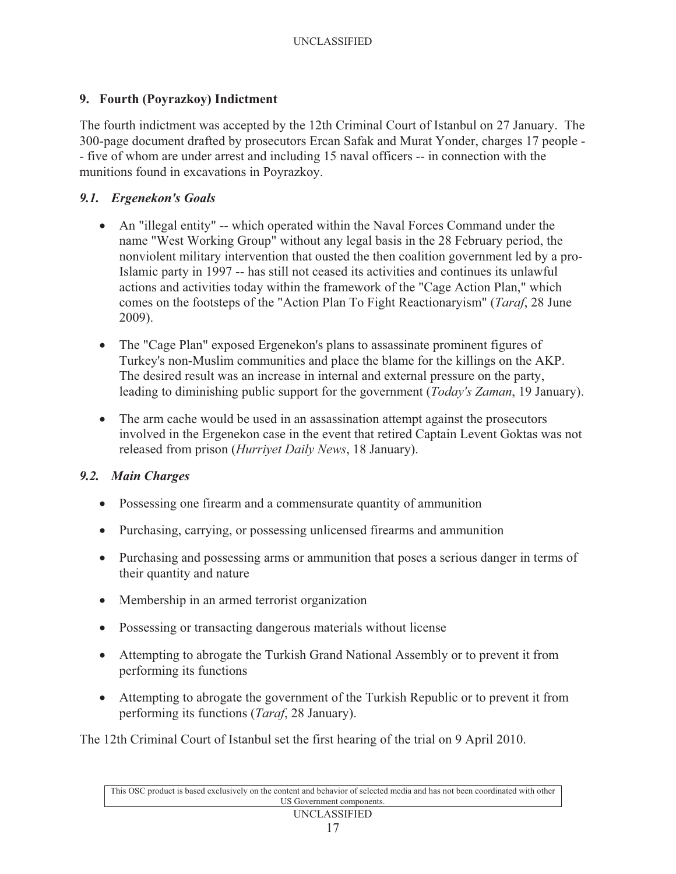#### **9. Fourth (Poyrazkoy) Indictment**

The fourth indictment was accepted by the 12th Criminal Court of Istanbul on 27 January. The 300-page document drafted by prosecutors Ercan Safak and Murat Yonder, charges 17 people - - five of whom are under arrest and including 15 naval officers -- in connection with the munitions found in excavations in Poyrazkoy.

#### *9.1. Ergenekon's Goals*

- An "illegal entity" -- which operated within the Naval Forces Command under the name "West Working Group" without any legal basis in the 28 February period, the nonviolent military intervention that ousted the then coalition government led by a pro-Islamic party in 1997 -- has still not ceased its activities and continues its unlawful actions and activities today within the framework of the "Cage Action Plan," which comes on the footsteps of the "Action Plan To Fight Reactionaryism" (*Taraf*, 28 June 2009).
- The "Cage Plan" exposed Ergenekon's plans to assassinate prominent figures of Turkey's non-Muslim communities and place the blame for the killings on the AKP. The desired result was an increase in internal and external pressure on the party, leading to diminishing public support for the government (*Today's Zaman*, 19 January).
- The arm cache would be used in an assassination attempt against the prosecutors involved in the Ergenekon case in the event that retired Captain Levent Goktas was not released from prison (*Hurriyet Daily News*, 18 January).

### *9.2. Main Charges*

- Possessing one firearm and a commensurate quantity of ammunition
- Purchasing, carrying, or possessing unlicensed firearms and ammunition
- Purchasing and possessing arms or ammunition that poses a serious danger in terms of their quantity and nature
- Membership in an armed terrorist organization
- Possessing or transacting dangerous materials without license
- Attempting to abrogate the Turkish Grand National Assembly or to prevent it from performing its functions
- Attempting to abrogate the government of the Turkish Republic or to prevent it from performing its functions (*Taraf*, 28 January).

The 12th Criminal Court of Istanbul set the first hearing of the trial on 9 April 2010.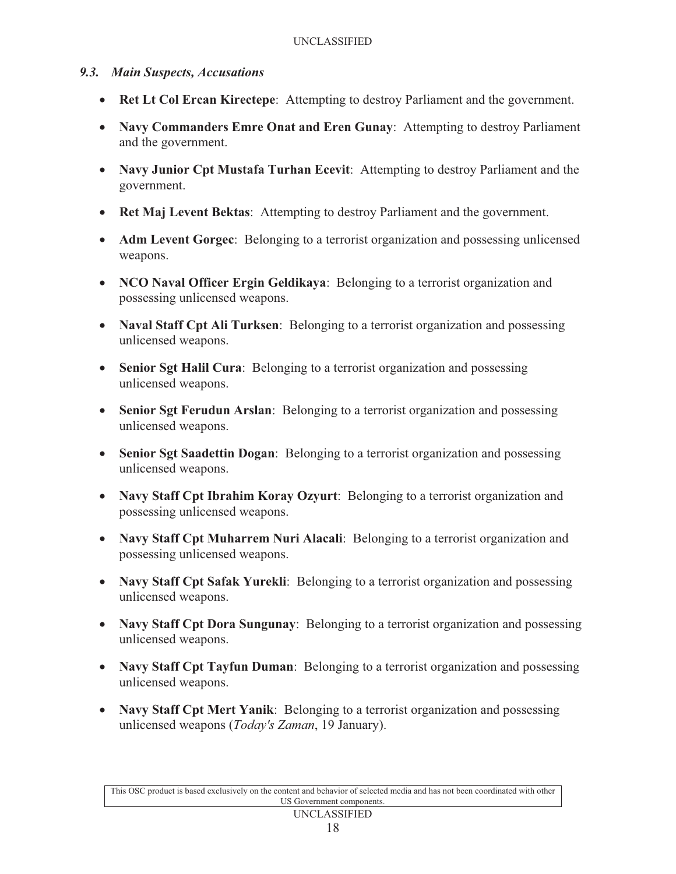### *9.3. Main Suspects, Accusations*

- **Ret Lt Col Ercan Kirectepe**: Attempting to destroy Parliament and the government.
- **Navy Commanders Emre Onat and Eren Gunay**: Attempting to destroy Parliament and the government.
- **Navy Junior Cpt Mustafa Turhan Ecevit**: Attempting to destroy Parliament and the government.
- **Ret Maj Levent Bektas**: Attempting to destroy Parliament and the government.
- **Adm Levent Gorgec**: Belonging to a terrorist organization and possessing unlicensed weapons.
- **NCO Naval Officer Ergin Geldikaya**: Belonging to a terrorist organization and possessing unlicensed weapons.
- **Naval Staff Cpt Ali Turksen**: Belonging to a terrorist organization and possessing unlicensed weapons.
- **Senior Sgt Halil Cura**: Belonging to a terrorist organization and possessing unlicensed weapons.
- **Senior Sgt Ferudun Arslan**: Belonging to a terrorist organization and possessing unlicensed weapons.
- **Senior Sgt Saadettin Dogan**: Belonging to a terrorist organization and possessing unlicensed weapons.
- **Navy Staff Cpt Ibrahim Koray Ozyurt**: Belonging to a terrorist organization and possessing unlicensed weapons.
- **Navy Staff Cpt Muharrem Nuri Alacali**: Belonging to a terrorist organization and possessing unlicensed weapons.
- **Navy Staff Cpt Safak Yurekli**: Belonging to a terrorist organization and possessing unlicensed weapons.
- **Navy Staff Cpt Dora Sungunay**: Belonging to a terrorist organization and possessing unlicensed weapons.
- **Navy Staff Cpt Tayfun Duman**: Belonging to a terrorist organization and possessing unlicensed weapons.
- **Navy Staff Cpt Mert Yanik**: Belonging to a terrorist organization and possessing unlicensed weapons (*Today's Zaman*, 19 January).

This OSC product is based exclusively on the content and behavior of selected media and has not been coordinated with other US Government components.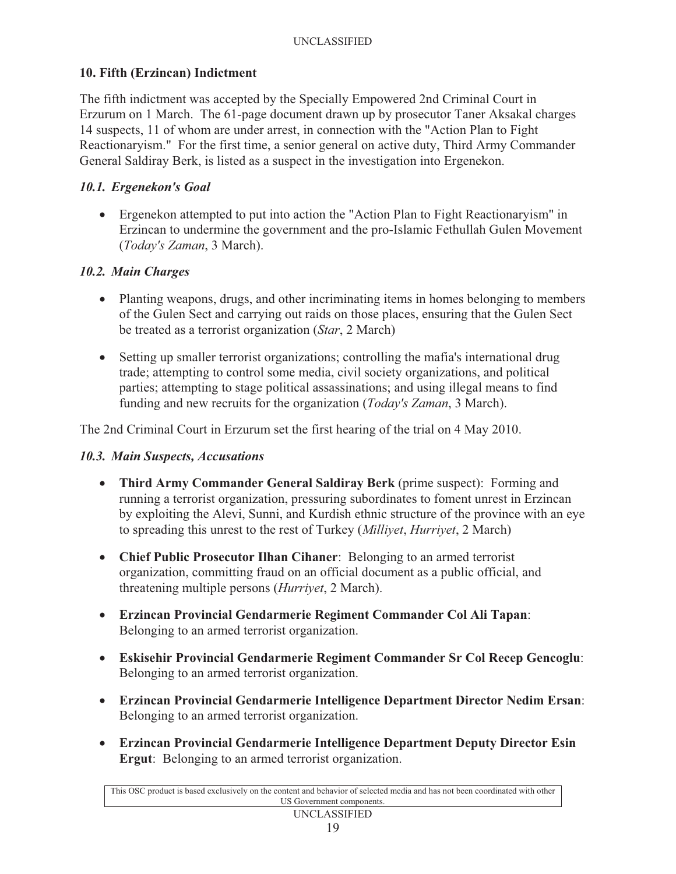## **10. Fifth (Erzincan) Indictment**

The fifth indictment was accepted by the Specially Empowered 2nd Criminal Court in Erzurum on 1 March. The 61-page document drawn up by prosecutor Taner Aksakal charges 14 suspects, 11 of whom are under arrest, in connection with the "Action Plan to Fight Reactionaryism." For the first time, a senior general on active duty, Third Army Commander General Saldiray Berk, is listed as a suspect in the investigation into Ergenekon.

### *10.1. Ergenekon's Goal*

- Ergenekon attempted to put into action the "Action Plan to Fight Reactionaryism" in Erzincan to undermine the government and the pro-Islamic Fethullah Gulen Movement (*Today's Zaman*, 3 March).

# *10.2. Main Charges*

- Planting weapons, drugs, and other incriminating items in homes belonging to members of the Gulen Sect and carrying out raids on those places, ensuring that the Gulen Sect be treated as a terrorist organization (*Star*, 2 March)
- Setting up smaller terrorist organizations; controlling the mafia's international drug trade; attempting to control some media, civil society organizations, and political parties; attempting to stage political assassinations; and using illegal means to find funding and new recruits for the organization (*Today's Zaman*, 3 March).

The 2nd Criminal Court in Erzurum set the first hearing of the trial on 4 May 2010.

# *10.3. Main Suspects, Accusations*

- **Third Army Commander General Saldiray Berk** (prime suspect): Forming and running a terrorist organization, pressuring subordinates to foment unrest in Erzincan by exploiting the Alevi, Sunni, and Kurdish ethnic structure of the province with an eye to spreading this unrest to the rest of Turkey (*Milliyet*, *Hurriyet*, 2 March)
- **Chief Public Prosecutor Ilhan Cihaner**: Belonging to an armed terrorist organization, committing fraud on an official document as a public official, and threatening multiple persons (*Hurriyet*, 2 March).
- **Erzincan Provincial Gendarmerie Regiment Commander Col Ali Tapan**: Belonging to an armed terrorist organization.
- **Eskisehir Provincial Gendarmerie Regiment Commander Sr Col Recep Gencoglu**: Belonging to an armed terrorist organization.
- **Erzincan Provincial Gendarmerie Intelligence Department Director Nedim Ersan**: Belonging to an armed terrorist organization.
- **Erzincan Provincial Gendarmerie Intelligence Department Deputy Director Esin Ergut**: Belonging to an armed terrorist organization.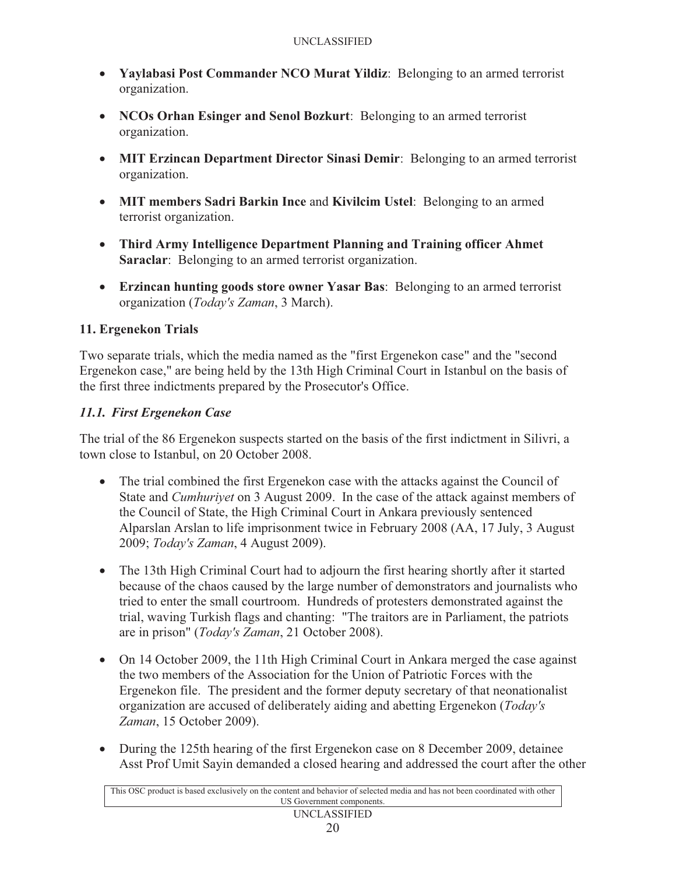- **Yaylabasi Post Commander NCO Murat Yildiz**: Belonging to an armed terrorist organization.
- **NCOs Orhan Esinger and Senol Bozkurt**: Belonging to an armed terrorist organization.
- **MIT Erzincan Department Director Sinasi Demir**: Belonging to an armed terrorist organization.
- **MIT members Sadri Barkin Ince** and **Kivilcim Ustel**: Belonging to an armed terrorist organization.
- **Third Army Intelligence Department Planning and Training officer Ahmet Saraclar:** Belonging to an armed terrorist organization.
- **Erzincan hunting goods store owner Yasar Bas**: Belonging to an armed terrorist organization (*Today's Zaman*, 3 March).

## **11. Ergenekon Trials**

Two separate trials, which the media named as the "first Ergenekon case" and the "second Ergenekon case," are being held by the 13th High Criminal Court in Istanbul on the basis of the first three indictments prepared by the Prosecutor's Office.

## *11.1. First Ergenekon Case*

The trial of the 86 Ergenekon suspects started on the basis of the first indictment in Silivri, a town close to Istanbul, on 20 October 2008.

- The trial combined the first Ergenekon case with the attacks against the Council of State and *Cumhuriyet* on 3 August 2009. In the case of the attack against members of the Council of State, the High Criminal Court in Ankara previously sentenced Alparslan Arslan to life imprisonment twice in February 2008 (AA, 17 July, 3 August 2009; *Today's Zaman*, 4 August 2009).
- The 13th High Criminal Court had to adjourn the first hearing shortly after it started because of the chaos caused by the large number of demonstrators and journalists who tried to enter the small courtroom. Hundreds of protesters demonstrated against the trial, waving Turkish flags and chanting: "The traitors are in Parliament, the patriots are in prison" (*Today's Zaman*, 21 October 2008).
- On 14 October 2009, the 11th High Criminal Court in Ankara merged the case against the two members of the Association for the Union of Patriotic Forces with the Ergenekon file. The president and the former deputy secretary of that neonationalist organization are accused of deliberately aiding and abetting Ergenekon (*Today's Zaman*, 15 October 2009).
- During the 125th hearing of the first Ergenekon case on 8 December 2009, detainee Asst Prof Umit Sayin demanded a closed hearing and addressed the court after the other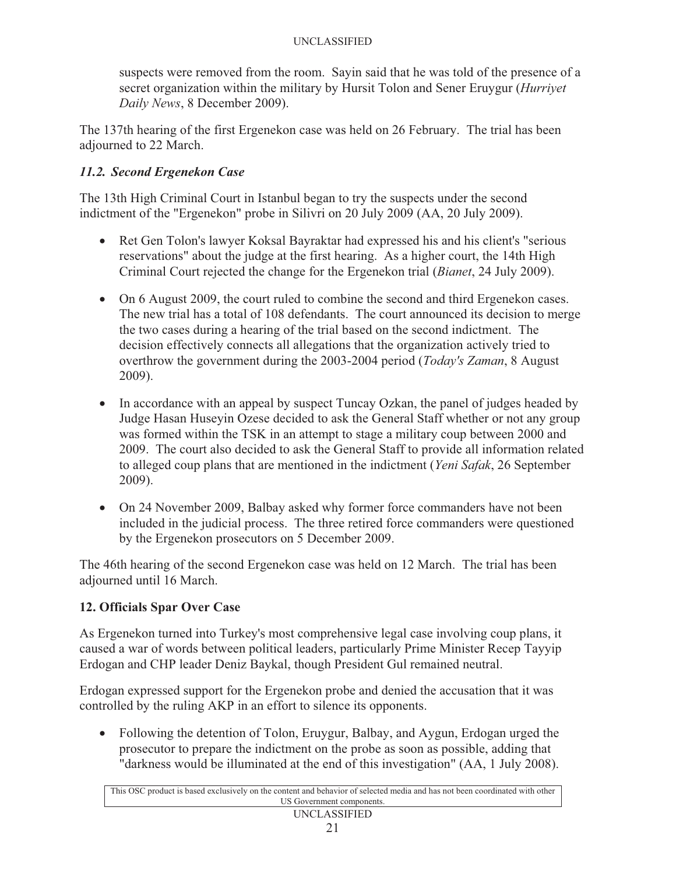suspects were removed from the room. Sayin said that he was told of the presence of a secret organization within the military by Hursit Tolon and Sener Eruygur (*Hurriyet Daily News*, 8 December 2009).

The 137th hearing of the first Ergenekon case was held on 26 February. The trial has been adjourned to 22 March.

# *11.2. Second Ergenekon Case*

The 13th High Criminal Court in Istanbul began to try the suspects under the second indictment of the "Ergenekon" probe in Silivri on 20 July 2009 (AA, 20 July 2009).

- Ret Gen Tolon's lawyer Koksal Bayraktar had expressed his and his client's "serious reservations" about the judge at the first hearing. As a higher court, the 14th High Criminal Court rejected the change for the Ergenekon trial (*Bianet*, 24 July 2009).
- On 6 August 2009, the court ruled to combine the second and third Ergenekon cases. The new trial has a total of 108 defendants. The court announced its decision to merge the two cases during a hearing of the trial based on the second indictment. The decision effectively connects all allegations that the organization actively tried to overthrow the government during the 2003-2004 period (*Today's Zaman*, 8 August 2009).
- In accordance with an appeal by suspect Tuncay Ozkan, the panel of judges headed by Judge Hasan Huseyin Ozese decided to ask the General Staff whether or not any group was formed within the TSK in an attempt to stage a military coup between 2000 and 2009. The court also decided to ask the General Staff to provide all information related to alleged coup plans that are mentioned in the indictment (*Yeni Safak*, 26 September 2009).
- On 24 November 2009, Balbay asked why former force commanders have not been included in the judicial process. The three retired force commanders were questioned by the Ergenekon prosecutors on 5 December 2009.

The 46th hearing of the second Ergenekon case was held on 12 March. The trial has been adjourned until 16 March.

# **12. Officials Spar Over Case**

As Ergenekon turned into Turkey's most comprehensive legal case involving coup plans, it caused a war of words between political leaders, particularly Prime Minister Recep Tayyip Erdogan and CHP leader Deniz Baykal, though President Gul remained neutral.

Erdogan expressed support for the Ergenekon probe and denied the accusation that it was controlled by the ruling AKP in an effort to silence its opponents.

- Following the detention of Tolon, Eruygur, Balbay, and Aygun, Erdogan urged the prosecutor to prepare the indictment on the probe as soon as possible, adding that "darkness would be illuminated at the end of this investigation" (AA, 1 July 2008).